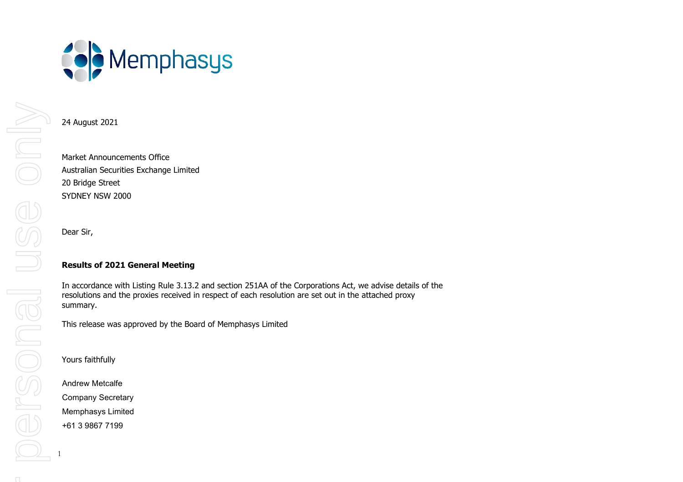

## 24 August 2021

Market Announcements Office Australian Securities Exchange Limited 20 Bridge Street SYDNEY NSW 2000

Dear Sir,

## **Results of 2021 General Meeting**

In accordance with Listing Rule 3.13.2 and section 251AA of the Corporations Act, we advise details of the resolutions and the proxies received in respect of each resolution are set out in the attached proxy summary.

This release was approved by the Board of Memphasys Limited

Yours faithfully

Andrew Metcalfe Company Secretary Memphasys Limited +61 3 9867 7199

1

For personal use onlyMIDO PEN BORDE